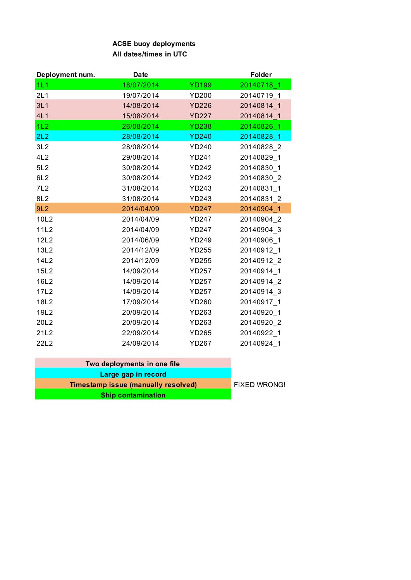## **ACSE buoy deployments All dates/times in UTC**

| Deployment num. | <b>Date</b> |              | <b>Folder</b> |
|-----------------|-------------|--------------|---------------|
| 1L1             | 18/07/2014  | <b>YD199</b> | 20140718 1    |
| 2L1             | 19/07/2014  | <b>YD200</b> | 20140719 1    |
| 3L1             | 14/08/2014  | <b>YD226</b> | 20140814_1    |
| 4L1             | 15/08/2014  | <b>YD227</b> | 20140814 1    |
| 1L2             | 26/08/2014  | <b>YD238</b> | 20140826 1    |
| 2L2             | 28/08/2014  | <b>YD240</b> | 20140828 1    |
| 3L2             | 28/08/2014  | YD240        | 20140828 2    |
| 4L2             | 29/08/2014  | <b>YD241</b> | 20140829 1    |
| 5L2             | 30/08/2014  | <b>YD242</b> | 20140830 1    |
| 6L <sub>2</sub> | 30/08/2014  | <b>YD242</b> | 20140830 2    |
| 7L2             | 31/08/2014  | YD243        | 20140831 1    |
| 8L2             | 31/08/2014  | YD243        | 20140831 2    |
| 9L2             | 2014/04/09  | <b>YD247</b> | 20140904 1    |
| 10L2            | 2014/04/09  | <b>YD247</b> | 20140904 2    |
| 11L2            | 2014/04/09  | <b>YD247</b> | 20140904_3    |
| 12L2            | 2014/06/09  | YD249        | 20140906 1    |
| 13L2            | 2014/12/09  | <b>YD255</b> | 20140912 1    |
| 14L2            | 2014/12/09  | <b>YD255</b> | 20140912_2    |
| 15L2            | 14/09/2014  | <b>YD257</b> | 20140914_1    |
| 16L2            | 14/09/2014  | <b>YD257</b> | 20140914 2    |
| 17L2            | 14/09/2014  | <b>YD257</b> | 20140914 3    |
| 18L2            | 17/09/2014  | YD260        | 20140917 1    |
| 19L2            | 20/09/2014  | YD263        | 20140920_1    |
| 20L2            | 20/09/2014  | YD263        | 20140920 2    |
| 21L2            | 22/09/2014  | YD265        | 20140922_1    |
| 22L2            | 24/09/2014  | <b>YD267</b> | 20140924 1    |

| Two deployments in one file                |                     |
|--------------------------------------------|---------------------|
| Large gap in record                        |                     |
| <b>Timestamp issue (manually resolved)</b> | <b>FIXED WRONG!</b> |
| <b>Ship contamination</b>                  |                     |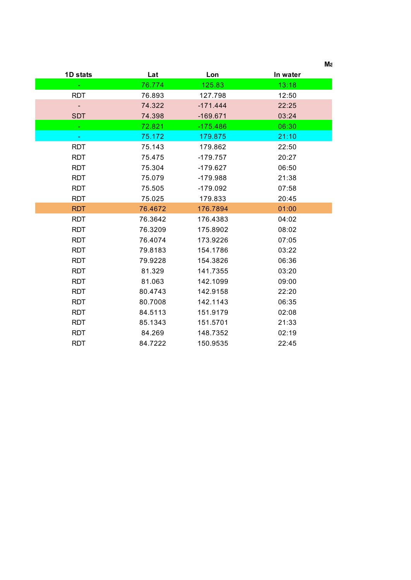|                  |         |            | Мε       |
|------------------|---------|------------|----------|
| 1D stats         | Lat     | Lon        | In water |
|                  | 76.774  | 125.83     | 13:18    |
| <b>RDT</b>       | 76.893  | 127.798    | 12:50    |
|                  | 74.322  | $-171.444$ | 22:25    |
| <b>SDT</b>       | 74.398  | $-169.671$ | 03:24    |
| $\omega_{\rm c}$ | 72.821  | $-175.486$ | 06:30    |
| $\blacksquare$   | 75.172  | 179.875    | 21:10    |
| <b>RDT</b>       | 75.143  | 179.862    | 22:50    |
| <b>RDT</b>       | 75.475  | $-179.757$ | 20:27    |
| <b>RDT</b>       | 75.304  | $-179.627$ | 06:50    |
| <b>RDT</b>       | 75.079  | $-179.988$ | 21:38    |
| <b>RDT</b>       | 75.505  | $-179.092$ | 07:58    |
| <b>RDT</b>       | 75.025  | 179.833    | 20:45    |
| <b>RDT</b>       | 76.4672 | 176.7894   | 01:00    |
| <b>RDT</b>       | 76.3642 | 176.4383   | 04:02    |
| <b>RDT</b>       | 76.3209 | 175.8902   | 08:02    |
| <b>RDT</b>       | 76.4074 | 173.9226   | 07:05    |
| <b>RDT</b>       | 79.8183 | 154.1786   | 03:22    |
| <b>RDT</b>       | 79.9228 | 154.3826   | 06:36    |
| <b>RDT</b>       | 81.329  | 141.7355   | 03:20    |
| <b>RDT</b>       | 81.063  | 142.1099   | 09:00    |
| <b>RDT</b>       | 80.4743 | 142.9158   | 22:20    |
| <b>RDT</b>       | 80.7008 | 142.1143   | 06:35    |
| <b>RDT</b>       | 84.5113 | 151.9179   | 02:08    |
| <b>RDT</b>       | 85.1343 | 151.5701   | 21:33    |
| <b>RDT</b>       | 84.269  | 148.7352   | 02:19    |
| <b>RDT</b>       | 84.7222 | 150.9535   | 22:45    |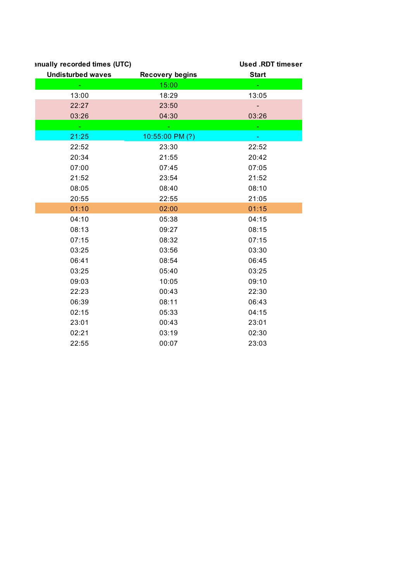| inually recorded times (UTC) |                        | <b>Used .RDT timeser</b> |
|------------------------------|------------------------|--------------------------|
| <b>Undisturbed waves</b>     | <b>Recovery begins</b> | <b>Start</b>             |
|                              | 15:00                  |                          |
| 13:00                        | 18:29                  | 13:05                    |
| 22:27                        | 23:50                  |                          |
| 03:26                        | 04:30                  | 03:26                    |
| $\omega$                     | μ,                     | ω.                       |
| 21:25                        | 10:55:00 PM (?)        |                          |
| 22:52                        | 23:30                  | 22:52                    |
| 20:34                        | 21:55                  | 20:42                    |
| 07:00                        | 07:45                  | 07:05                    |
| 21:52                        | 23:54                  | 21:52                    |
| 08:05                        | 08:40                  | 08:10                    |
| 20:55                        | 22:55                  | 21:05                    |
| 01:10                        | 02:00                  | 01:15                    |
| 04:10                        | 05:38                  | 04:15                    |
| 08:13                        | 09:27                  | 08:15                    |
| 07:15                        | 08:32                  | 07:15                    |
| 03:25                        | 03:56                  | 03:30                    |
| 06:41                        | 08:54                  | 06:45                    |
| 03:25                        | 05:40                  | 03:25                    |
| 09:03                        | 10:05                  | 09:10                    |
| 22:23                        | 00:43                  | 22:30                    |
| 06:39                        | 08:11                  | 06:43                    |
| 02:15                        | 05:33                  | 04:15                    |
| 23:01                        | 00:43                  | 23:01                    |
| 02:21                        | 03:19                  | 02:30                    |
| 22:55                        | 00:07                  | 23:03                    |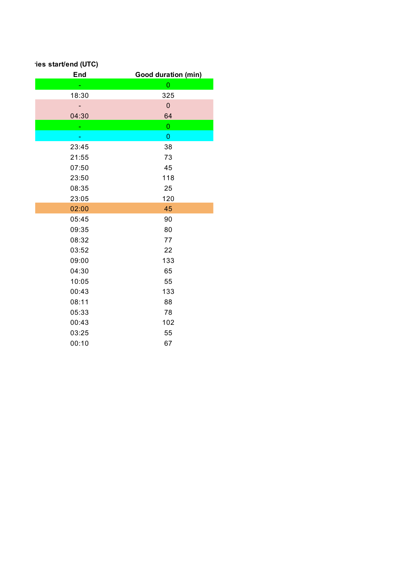| ies start/end (UTC) |                            |
|---------------------|----------------------------|
| End                 | <b>Good duration (min)</b> |
|                     | $\mathbf 0$                |
| 18:30               | 325                        |
|                     | $\mathbf 0$                |
| 04:30               | 64                         |
|                     | $\mathbf 0$                |
|                     | $\boldsymbol{0}$           |
| 23:45               | 38                         |
| 21:55               | 73                         |
| 07:50               | 45                         |
| 23:50               | 118                        |
| 08:35               | 25                         |
| 23:05               | 120                        |
| 02:00               | 45                         |
| 05:45               | 90                         |
| 09:35               | 80                         |
| 08:32               | 77                         |
| 03:52               | 22                         |
| 09:00               | 133                        |
| 04:30               | 65                         |
| 10:05               | 55                         |
| 00:43               | 133                        |
| 08:11               | 88                         |
| 05:33               | 78                         |
| 00:43               | 102                        |
| 03:25               | 55                         |
| 00:10               | 67                         |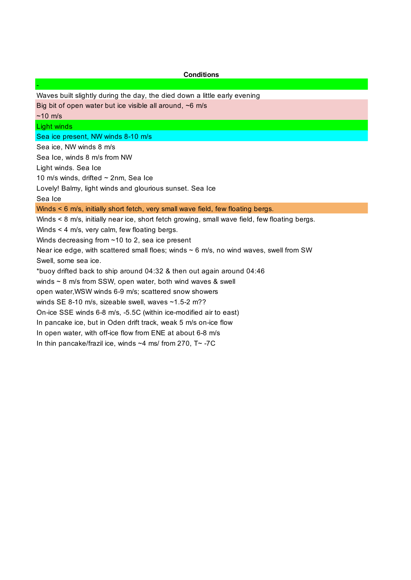## **Conditions**

Waves built slightly during the day, the died down a little early evening

Big bit of open water but ice visible all around, ~6 m/s

 $~10 \text{ m/s}$ 

-

Light winds

Sea ice present, NW winds 8-10 m/s

Sea ice, NW winds 8 m/s

Sea Ice, winds 8 m/s from NW

Light winds. Sea Ice

10 m/s winds, drifted ~ 2nm, Sea Ice

Lovely! Balmy, light winds and glourious sunset. Sea Ice

Sea Ice

Winds < 6 m/s, initially short fetch, very small wave field, few floating bergs.

Winds < 8 m/s, initially near ice, short fetch growing, small wave field, few floating bergs.

Winds < 4 m/s, very calm, few floating bergs.

Winds decreasing from ~10 to 2, sea ice present

Near ice edge, with scattered small floes; winds  $\sim$  6 m/s, no wind waves, swell from SW

Swell, some sea ice.

\*buoy drifted back to ship around 04:32 & then out again around 04:46

winds ~ 8 m/s from SSW, open water, both wind waves & swell

open water,WSW winds 6-9 m/s; scattered snow showers

winds SE 8-10 m/s, sizeable swell, waves ~1.5-2 m??

On-ice SSE winds 6-8 m/s, -5.5C (within ice-modified air to east)

In pancake ice, but in Oden drift track, weak 5 m/s on-ice flow

In open water, with off-ice flow from ENE at about 6-8 m/s

In thin pancake/frazil ice, winds ~4 ms/ from 270, T~ -7C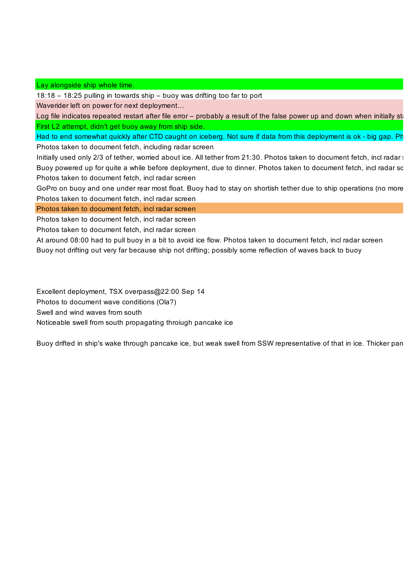## Lay alongside ship whole time.

18:18 – 18:25 pulling in towards ship – buoy was drifting too far to port

Waverider left on power for next deployment…

Log file indicates repeated restart after file error - probably a result of the false power up and down when initially sta First L2 attempt, didn't get buoy away from ship side.

Had to end somewhat quickly after CTD caught on iceberg. Not sure if data from this deployment is ok - big gap. Ph Photos taken to document fetch, including radar screen

Initially used only 2/3 of tether, worried about ice. All tether from 21:30. Photos taken to document fetch, incl radar sc Buoy powered up for quite a while before deployment, due to dinner. Photos taken to document fetch, incl radar sc Photos taken to document fetch, incl radar screen

GoPro on buoy and one under rear most float. Buoy had to stay on shortish tether due to ship operations (no more Photos taken to document fetch, incl radar screen

Photos taken to document fetch, incl radar screen

Photos taken to document fetch, incl radar screen

Photos taken to document fetch, incl radar screen

At around 08:00 had to pull buoy in a bit to avoid ice flow. Photos taken to document fetch, incl radar screen Buoy not drifting out very far because ship not drifting; possibly some reflection of waves back to buoy

Excellent deployment, TSX overpass@22:00 Sep 14

Photos to document wave conditions (Ola?)

Swell and wind waves from south

Noticeable swell from south propagating throiugh pancake ice

Buoy drifted in ship's wake through pancake ice, but weak swell from SSW representative of that in ice. Thicker pan